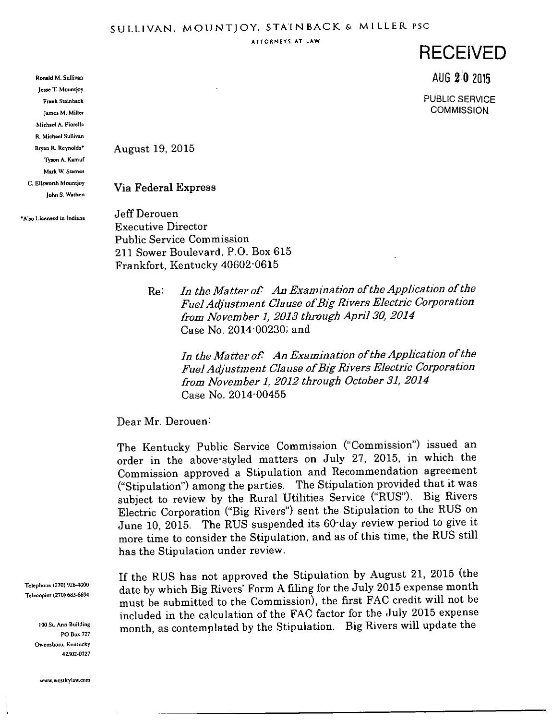ATTORNEYS AT LAW

## RECEIVED

AUG 2 0 2015

PUBLIC SERVICE **COMMISSION** 

August 19, 2015

Via Federal Express

'Also Licensed in Indiana

Ronald M. Sullivan Jesse T. Mountjoy Frank Suinback James M. Miller Michael A. Fiorella EL Michael Sullivan Bryan R. Reynolds\* Tyson A. Kamuf Mark W, Scarnes C. Ellswonh Mountjoy John S. Wathen

> Jeff Derouen Executive Director Public Service Commission 211 Sower Boulevard, P.O. Box 615 Frankfort, Kentucky 40602-0615

> > $Re:$  In the Matter of: An Examination of the Application of the Fuel Adjustment Clause of Big Rivers Electric Corporation from November 1, 2013 through April 30, 2014 Case No. 2014-00230; and

In the Matter of: An Examination of the Application of the Fuel Adjustment Clause of Big Rivers Electric Corporation from November 1, 2012 through October 31, 2014 Case No. 2014-00455

Dear Mr. Derouen:

The Kentucky Public Service Commission ("Commission") issued an order in the above-styled matters on July 27, 2015, in which the Commission approved a Stipulation and Recommendation agreement ("Stipulation") among the parties. The Stipulation provided that it was subject to review by the Rural Utilities Service ("RUS"). Big Rivers Electric Corporation ("Big Rivers") sent the Stipulation to the RUS on June 10, 2015. The RUS suspended its 60-day review period to give it more time to consider the Stipulation, and as of this time, the RUS still has the Stipulation under review.

If the RUS has not approved the Stipulation by August 21, 2015 (the date by which Big Rivers' Form Afiling for the July 2015 expense month must be submitted to the Commission), the first FAC credit will not be included in the calculation of the FAC factor for the July 2015 expense month, as contemplated by the Stipulation. Big Rivers will update the

Telephone (270) 926-4000 Telecopier (270) 683-6694

> 100 St. Ann Building PO Box 727 Owensboro, Kcniucky 42302-0727

www.wcstkylaw.com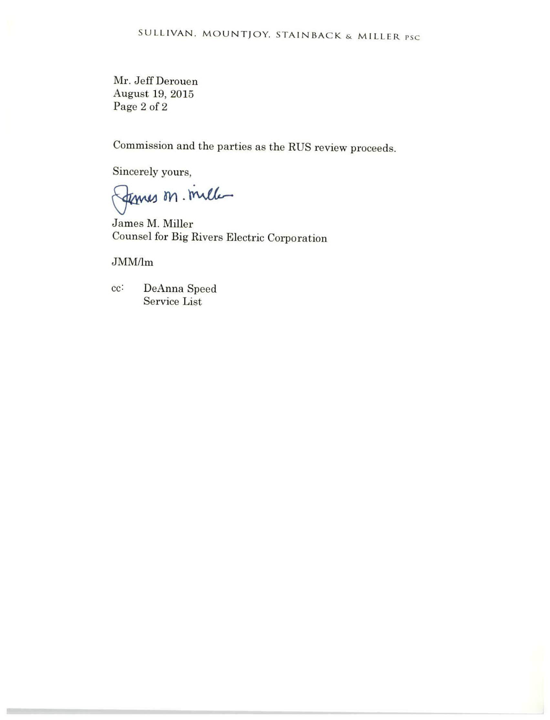Mr. Jeff Derouen August 19, 2015 Page 2 of 2

Commission and the parties as the RUS review proceeds.

Sincerely yours,

femes on mille

James M. Miller Counsel for Big Rivers Electric Corporation

JMM/lm

cc: DeAnna Speed Service List